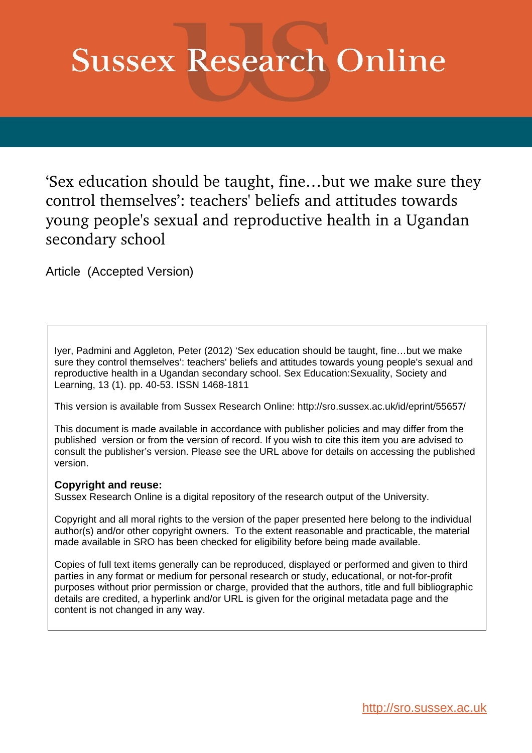# **Sussex Research Online**

'Sex education should be taught, fine…but we make sure they control themselves': teachers' beliefs and attitudes towards young people's sexual and reproductive health in a Ugandan secondary school

Article (Accepted Version)

Iyer, Padmini and Aggleton, Peter (2012) 'Sex education should be taught, fine…but we make sure they control themselves': teachers' beliefs and attitudes towards young people's sexual and reproductive health in a Ugandan secondary school. Sex Education:Sexuality, Society and Learning, 13 (1). pp. 40-53. ISSN 1468-1811

This version is available from Sussex Research Online: http://sro.sussex.ac.uk/id/eprint/55657/

This document is made available in accordance with publisher policies and may differ from the published version or from the version of record. If you wish to cite this item you are advised to consult the publisher's version. Please see the URL above for details on accessing the published version.

#### **Copyright and reuse:**

Sussex Research Online is a digital repository of the research output of the University.

Copyright and all moral rights to the version of the paper presented here belong to the individual author(s) and/or other copyright owners. To the extent reasonable and practicable, the material made available in SRO has been checked for eligibility before being made available.

Copies of full text items generally can be reproduced, displayed or performed and given to third parties in any format or medium for personal research or study, educational, or not-for-profit purposes without prior permission or charge, provided that the authors, title and full bibliographic details are credited, a hyperlink and/or URL is given for the original metadata page and the content is not changed in any way.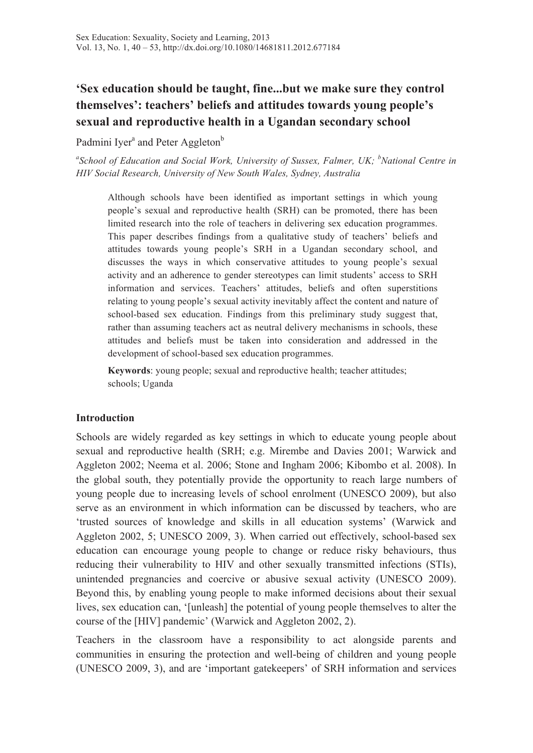# **'Sex education should be taught, fine...but we make sure they control themselves': teachers' beliefs and attitudes towards young people's sexual and reproductive health in a Ugandan secondary school**

Padmini Iver<sup>a</sup> and Peter Aggleton<sup>b</sup>

<sup>a</sup>School of Education and Social Work, University of Sussex, Falmer, UK; <sup>b</sup>National Centre in *HIV Social Research, University of New South Wales, Sydney, Australia*

Although schools have been identified as important settings in which young people's sexual and reproductive health (SRH) can be promoted, there has been limited research into the role of teachers in delivering sex education programmes. This paper describes findings from a qualitative study of teachers' beliefs and attitudes towards young people's SRH in a Ugandan secondary school, and discusses the ways in which conservative attitudes to young people's sexual activity and an adherence to gender stereotypes can limit students' access to SRH information and services. Teachers' attitudes, beliefs and often superstitions relating to young people's sexual activity inevitably affect the content and nature of school-based sex education. Findings from this preliminary study suggest that, rather than assuming teachers act as neutral delivery mechanisms in schools, these attitudes and beliefs must be taken into consideration and addressed in the development of school-based sex education programmes.

**Keywords**: young people; sexual and reproductive health; teacher attitudes; schools; Uganda

#### **Introduction**

Schools are widely regarded as key settings in which to educate young people about sexual and reproductive health (SRH; e.g. Mirembe and Davies 2001; Warwick and Aggleton 2002; Neema et al. 2006; Stone and Ingham 2006; Kibombo et al. 2008). In the global south, they potentially provide the opportunity to reach large numbers of young people due to increasing levels of school enrolment (UNESCO 2009), but also serve as an environment in which information can be discussed by teachers, who are 'trusted sources of knowledge and skills in all education systems' (Warwick and Aggleton 2002, 5; UNESCO 2009, 3). When carried out effectively, school-based sex education can encourage young people to change or reduce risky behaviours, thus reducing their vulnerability to HIV and other sexually transmitted infections (STIs), unintended pregnancies and coercive or abusive sexual activity (UNESCO 2009). Beyond this, by enabling young people to make informed decisions about their sexual lives, sex education can, '[unleash] the potential of young people themselves to alter the course of the [HIV] pandemic' (Warwick and Aggleton 2002, 2).

Teachers in the classroom have a responsibility to act alongside parents and communities in ensuring the protection and well-being of children and young people (UNESCO 2009, 3), and are 'important gatekeepers' of SRH information and services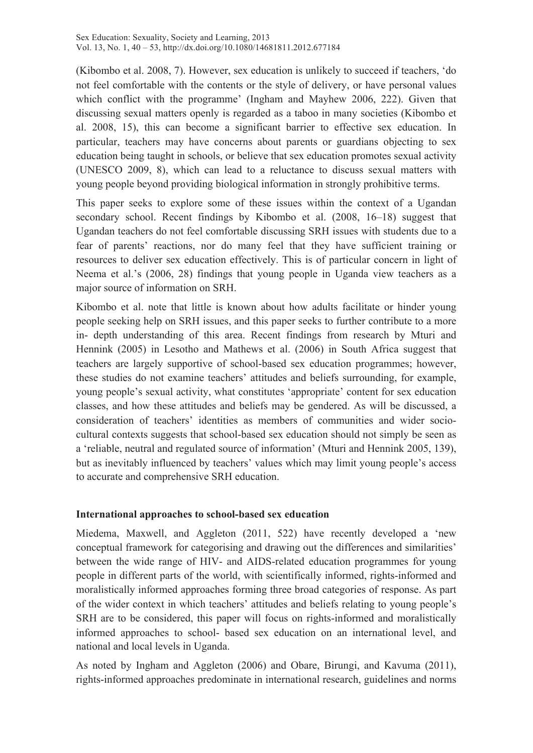(Kibombo et al. 2008, 7). However, sex education is unlikely to succeed if teachers, 'do not feel comfortable with the contents or the style of delivery, or have personal values which conflict with the programme' (Ingham and Mayhew 2006, 222). Given that discussing sexual matters openly is regarded as a taboo in many societies (Kibombo et al. 2008, 15), this can become a significant barrier to effective sex education. In particular, teachers may have concerns about parents or guardians objecting to sex education being taught in schools, or believe that sex education promotes sexual activity (UNESCO 2009, 8), which can lead to a reluctance to discuss sexual matters with young people beyond providing biological information in strongly prohibitive terms.

This paper seeks to explore some of these issues within the context of a Ugandan secondary school. Recent findings by Kibombo et al. (2008, 16–18) suggest that Ugandan teachers do not feel comfortable discussing SRH issues with students due to a fear of parents' reactions, nor do many feel that they have sufficient training or resources to deliver sex education effectively. This is of particular concern in light of Neema et al.'s (2006, 28) findings that young people in Uganda view teachers as a major source of information on SRH.

Kibombo et al. note that little is known about how adults facilitate or hinder young people seeking help on SRH issues, and this paper seeks to further contribute to a more in- depth understanding of this area. Recent findings from research by Mturi and Hennink (2005) in Lesotho and Mathews et al. (2006) in South Africa suggest that teachers are largely supportive of school-based sex education programmes; however, these studies do not examine teachers' attitudes and beliefs surrounding, for example, young people's sexual activity, what constitutes 'appropriate' content for sex education classes, and how these attitudes and beliefs may be gendered. As will be discussed, a consideration of teachers' identities as members of communities and wider sociocultural contexts suggests that school-based sex education should not simply be seen as a 'reliable, neutral and regulated source of information' (Mturi and Hennink 2005, 139), but as inevitably influenced by teachers' values which may limit young people's access to accurate and comprehensive SRH education.

#### **International approaches to school-based sex education**

Miedema, Maxwell, and Aggleton (2011, 522) have recently developed a 'new conceptual framework for categorising and drawing out the differences and similarities' between the wide range of HIV- and AIDS-related education programmes for young people in different parts of the world, with scientifically informed, rights-informed and moralistically informed approaches forming three broad categories of response. As part of the wider context in which teachers' attitudes and beliefs relating to young people's SRH are to be considered, this paper will focus on rights-informed and moralistically informed approaches to school- based sex education on an international level, and national and local levels in Uganda.

As noted by Ingham and Aggleton (2006) and Obare, Birungi, and Kavuma (2011), rights-informed approaches predominate in international research, guidelines and norms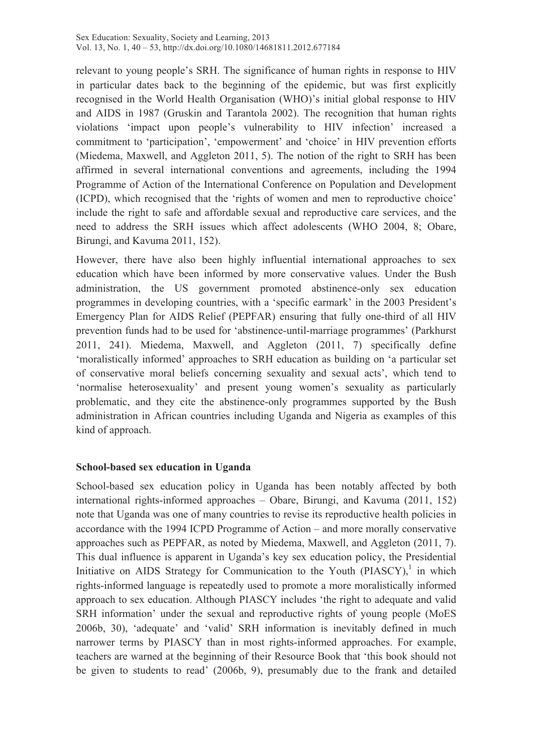relevant to young people's SRH. The significance of human rights in response to HIV in particular dates back to the beginning of the epidemic, but was first explicitly recognised in the World Health Organisation (WHO)'s initial global response to HIV and AIDS in 1987 (Gruskin and Tarantola 2002). The recognition that human rights violations 'impact upon people's vulnerability to HIV infection' increased a commitment to 'participation', 'empowerment' and 'choice' in HIV prevention efforts (Miedema, Maxwell, and Aggleton 2011, 5). The notion of the right to SRH has been affirmed in several international conventions and agreements, including the 1994 Programme of Action of the International Conference on Population and Development (ICPD), which recognised that the 'rights of women and men to reproductive choice' include the right to safe and affordable sexual and reproductive care services, and the need to address the SRH issues which affect adolescents (WHO 2004, 8; Obare, Birungi, and Kavuma 2011, 152).

However, there have also been highly influential international approaches to sex education which have been informed by more conservative values. Under the Bush administration, the US government promoted abstinence-only sex education programmes in developing countries, with a 'specific earmark' in the 2003 President's Emergency Plan for AIDS Relief (PEPFAR) ensuring that fully one-third of all HIV prevention funds had to be used for 'abstinence-until-marriage programmes' (Parkhurst 2011, 241). Miedema, Maxwell, and Aggleton (2011, 7) specifically define 'moralistically informed' approaches to SRH education as building on 'a particular set of conservative moral beliefs concerning sexuality and sexual acts', which tend to 'normalise heterosexuality' and present young women's sexuality as particularly problematic, and they cite the abstinence-only programmes supported by the Bush administration in African countries including Uganda and Nigeria as examples of this kind of approach.

#### **School-based sex education in Uganda**

School-based sex education policy in Uganda has been notably affected by both international rights-informed approaches – Obare, Birungi, and Kavuma (2011, 152) note that Uganda was one of many countries to revise its reproductive health policies in accordance with the 1994 ICPD Programme of Action – and more morally conservative approaches such as PEPFAR, as noted by Miedema, Maxwell, and Aggleton (2011, 7). This dual influence is apparent in Uganda's key sex education policy, the Presidential Initiative on AIDS Strategy for Communication to the Youth  $(PIASCY)$ , in which rights-informed language is repeatedly used to promote a more moralistically informed approach to sex education. Although PIASCY includes 'the right to adequate and valid SRH information' under the sexual and reproductive rights of young people (MoES 2006b, 30), 'adequate' and 'valid' SRH information is inevitably defined in much narrower terms by PIASCY than in most rights-informed approaches. For example, teachers are warned at the beginning of their Resource Book that 'this book should not be given to students to read' (2006b, 9), presumably due to the frank and detailed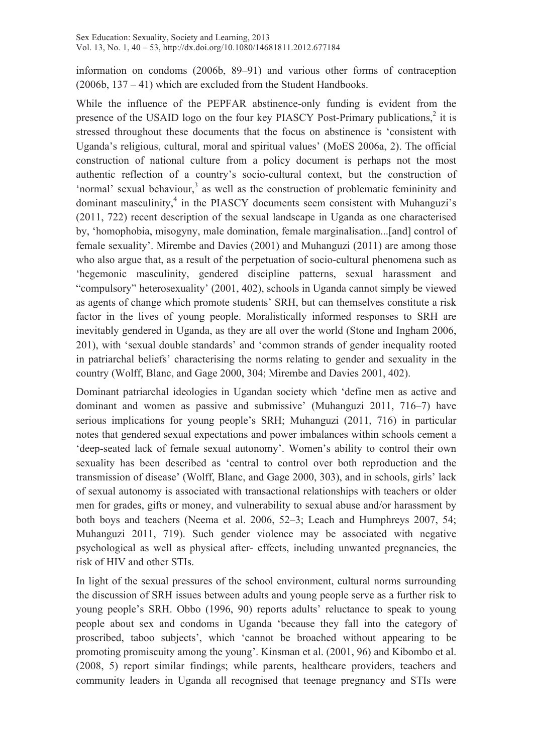information on condoms (2006b, 89–91) and various other forms of contraception (2006b, 137 – 41) which are excluded from the Student Handbooks.

While the influence of the PEPFAR abstinence-only funding is evident from the presence of the USAID logo on the four key PIASCY Post-Primary publications,<sup>2</sup> it is stressed throughout these documents that the focus on abstinence is 'consistent with Uganda's religious, cultural, moral and spiritual values' (MoES 2006a, 2). The official construction of national culture from a policy document is perhaps not the most authentic reflection of a country's socio-cultural context, but the construction of 'normal' sexual behaviour, $3$  as well as the construction of problematic femininity and dominant masculinity, $4$  in the PIASCY documents seem consistent with Muhanguzi's (2011, 722) recent description of the sexual landscape in Uganda as one characterised by, 'homophobia, misogyny, male domination, female marginalisation...[and] control of female sexuality'. Mirembe and Davies (2001) and Muhanguzi (2011) are among those who also argue that, as a result of the perpetuation of socio-cultural phenomena such as 'hegemonic masculinity, gendered discipline patterns, sexual harassment and "compulsory" heterosexuality' (2001, 402), schools in Uganda cannot simply be viewed as agents of change which promote students' SRH, but can themselves constitute a risk factor in the lives of young people. Moralistically informed responses to SRH are inevitably gendered in Uganda, as they are all over the world (Stone and Ingham 2006, 201), with 'sexual double standards' and 'common strands of gender inequality rooted in patriarchal beliefs' characterising the norms relating to gender and sexuality in the country (Wolff, Blanc, and Gage 2000, 304; Mirembe and Davies 2001, 402).

Dominant patriarchal ideologies in Ugandan society which 'define men as active and dominant and women as passive and submissive' (Muhanguzi 2011, 716–7) have serious implications for young people's SRH; Muhanguzi (2011, 716) in particular notes that gendered sexual expectations and power imbalances within schools cement a 'deep-seated lack of female sexual autonomy'. Women's ability to control their own sexuality has been described as 'central to control over both reproduction and the transmission of disease' (Wolff, Blanc, and Gage 2000, 303), and in schools, girls' lack of sexual autonomy is associated with transactional relationships with teachers or older men for grades, gifts or money, and vulnerability to sexual abuse and/or harassment by both boys and teachers (Neema et al. 2006, 52–3; Leach and Humphreys 2007, 54; Muhanguzi 2011, 719). Such gender violence may be associated with negative psychological as well as physical after- effects, including unwanted pregnancies, the risk of HIV and other STIs.

In light of the sexual pressures of the school environment, cultural norms surrounding the discussion of SRH issues between adults and young people serve as a further risk to young people's SRH. Obbo (1996, 90) reports adults' reluctance to speak to young people about sex and condoms in Uganda 'because they fall into the category of proscribed, taboo subjects', which 'cannot be broached without appearing to be promoting promiscuity among the young'. Kinsman et al. (2001, 96) and Kibombo et al. (2008, 5) report similar findings; while parents, healthcare providers, teachers and community leaders in Uganda all recognised that teenage pregnancy and STIs were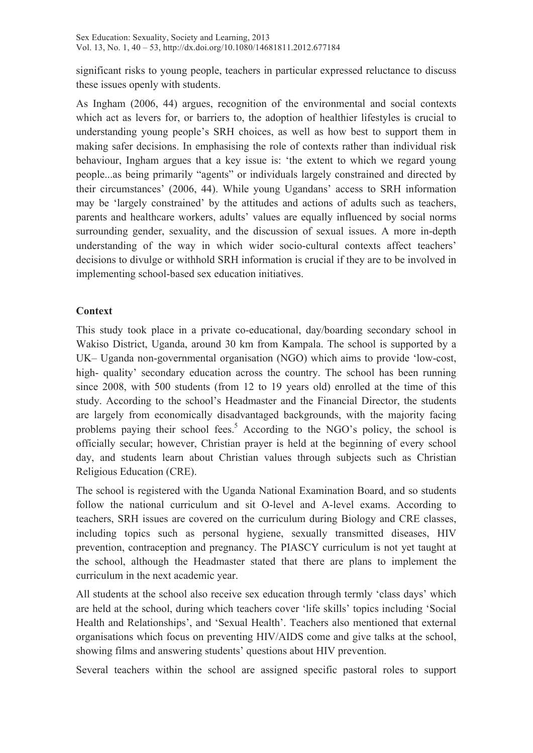significant risks to young people, teachers in particular expressed reluctance to discuss these issues openly with students.

As Ingham (2006, 44) argues, recognition of the environmental and social contexts which act as levers for, or barriers to, the adoption of healthier lifestyles is crucial to understanding young people's SRH choices, as well as how best to support them in making safer decisions. In emphasising the role of contexts rather than individual risk behaviour, Ingham argues that a key issue is: 'the extent to which we regard young people...as being primarily "agents" or individuals largely constrained and directed by their circumstances' (2006, 44). While young Ugandans' access to SRH information may be 'largely constrained' by the attitudes and actions of adults such as teachers, parents and healthcare workers, adults' values are equally influenced by social norms surrounding gender, sexuality, and the discussion of sexual issues. A more in-depth understanding of the way in which wider socio-cultural contexts affect teachers' decisions to divulge or withhold SRH information is crucial if they are to be involved in implementing school-based sex education initiatives.

### **Context**

This study took place in a private co-educational, day/boarding secondary school in Wakiso District, Uganda, around 30 km from Kampala. The school is supported by a UK– Uganda non-governmental organisation (NGO) which aims to provide 'low-cost, high- quality' secondary education across the country. The school has been running since 2008, with 500 students (from 12 to 19 years old) enrolled at the time of this study. According to the school's Headmaster and the Financial Director, the students are largely from economically disadvantaged backgrounds, with the majority facing problems paying their school fees.<sup>5</sup> According to the NGO's policy, the school is officially secular; however, Christian prayer is held at the beginning of every school day, and students learn about Christian values through subjects such as Christian Religious Education (CRE).

The school is registered with the Uganda National Examination Board, and so students follow the national curriculum and sit O-level and A-level exams. According to teachers, SRH issues are covered on the curriculum during Biology and CRE classes, including topics such as personal hygiene, sexually transmitted diseases, HIV prevention, contraception and pregnancy. The PIASCY curriculum is not yet taught at the school, although the Headmaster stated that there are plans to implement the curriculum in the next academic year.

All students at the school also receive sex education through termly 'class days' which are held at the school, during which teachers cover 'life skills' topics including 'Social Health and Relationships', and 'Sexual Health'. Teachers also mentioned that external organisations which focus on preventing HIV/AIDS come and give talks at the school, showing films and answering students' questions about HIV prevention.

Several teachers within the school are assigned specific pastoral roles to support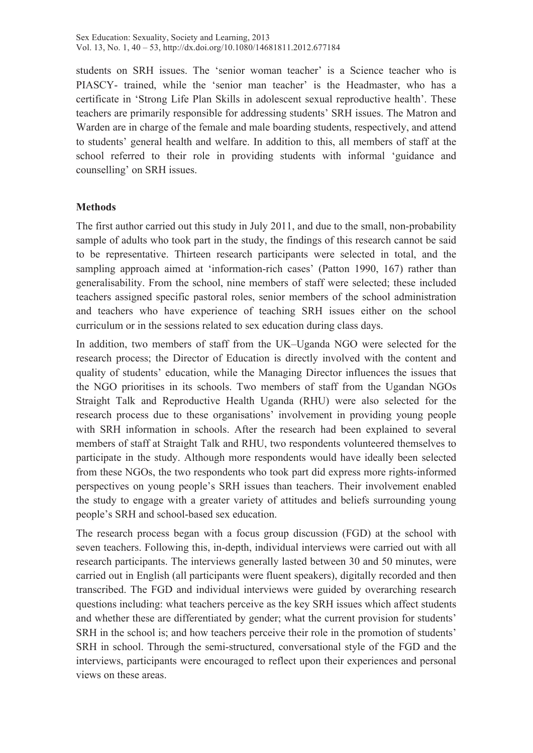students on SRH issues. The 'senior woman teacher' is a Science teacher who is PIASCY- trained, while the 'senior man teacher' is the Headmaster, who has a certificate in 'Strong Life Plan Skills in adolescent sexual reproductive health'. These teachers are primarily responsible for addressing students' SRH issues. The Matron and Warden are in charge of the female and male boarding students, respectively, and attend to students' general health and welfare. In addition to this, all members of staff at the school referred to their role in providing students with informal 'guidance and counselling' on SRH issues.

### **Methods**

The first author carried out this study in July 2011, and due to the small, non-probability sample of adults who took part in the study, the findings of this research cannot be said to be representative. Thirteen research participants were selected in total, and the sampling approach aimed at 'information-rich cases' (Patton 1990, 167) rather than generalisability. From the school, nine members of staff were selected; these included teachers assigned specific pastoral roles, senior members of the school administration and teachers who have experience of teaching SRH issues either on the school curriculum or in the sessions related to sex education during class days.

In addition, two members of staff from the UK–Uganda NGO were selected for the research process; the Director of Education is directly involved with the content and quality of students' education, while the Managing Director influences the issues that the NGO prioritises in its schools. Two members of staff from the Ugandan NGOs Straight Talk and Reproductive Health Uganda (RHU) were also selected for the research process due to these organisations' involvement in providing young people with SRH information in schools. After the research had been explained to several members of staff at Straight Talk and RHU, two respondents volunteered themselves to participate in the study. Although more respondents would have ideally been selected from these NGOs, the two respondents who took part did express more rights-informed perspectives on young people's SRH issues than teachers. Their involvement enabled the study to engage with a greater variety of attitudes and beliefs surrounding young people's SRH and school-based sex education.

The research process began with a focus group discussion (FGD) at the school with seven teachers. Following this, in-depth, individual interviews were carried out with all research participants. The interviews generally lasted between 30 and 50 minutes, were carried out in English (all participants were fluent speakers), digitally recorded and then transcribed. The FGD and individual interviews were guided by overarching research questions including: what teachers perceive as the key SRH issues which affect students and whether these are differentiated by gender; what the current provision for students' SRH in the school is; and how teachers perceive their role in the promotion of students' SRH in school. Through the semi-structured, conversational style of the FGD and the interviews, participants were encouraged to reflect upon their experiences and personal views on these areas.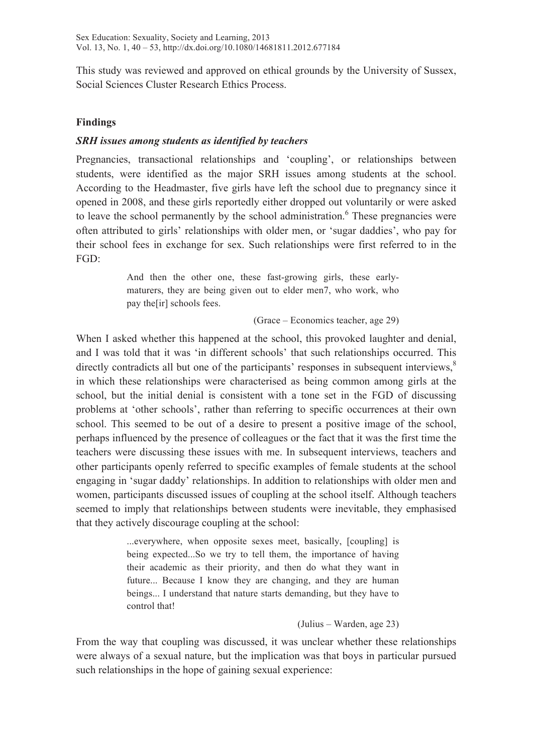This study was reviewed and approved on ethical grounds by the University of Sussex, Social Sciences Cluster Research Ethics Process.

# **Findings**

### *SRH issues among students as identified by teachers*

Pregnancies, transactional relationships and 'coupling', or relationships between students, were identified as the major SRH issues among students at the school. According to the Headmaster, five girls have left the school due to pregnancy since it opened in 2008, and these girls reportedly either dropped out voluntarily or were asked to leave the school permanently by the school administration.<sup>6</sup> These pregnancies were often attributed to girls' relationships with older men, or 'sugar daddies', who pay for their school fees in exchange for sex. Such relationships were first referred to in the FGD:

> And then the other one, these fast-growing girls, these earlymaturers, they are being given out to elder men7, who work, who pay the[ir] schools fees.

> > (Grace – Economics teacher, age 29)

When I asked whether this happened at the school, this provoked laughter and denial, and I was told that it was 'in different schools' that such relationships occurred. This directly contradicts all but one of the participants' responses in subsequent interviews,<sup>8</sup> in which these relationships were characterised as being common among girls at the school, but the initial denial is consistent with a tone set in the FGD of discussing problems at 'other schools', rather than referring to specific occurrences at their own school. This seemed to be out of a desire to present a positive image of the school, perhaps influenced by the presence of colleagues or the fact that it was the first time the teachers were discussing these issues with me. In subsequent interviews, teachers and other participants openly referred to specific examples of female students at the school engaging in 'sugar daddy' relationships. In addition to relationships with older men and women, participants discussed issues of coupling at the school itself. Although teachers seemed to imply that relationships between students were inevitable, they emphasised that they actively discourage coupling at the school:

> ...everywhere, when opposite sexes meet, basically, [coupling] is being expected...So we try to tell them, the importance of having their academic as their priority, and then do what they want in future... Because I know they are changing, and they are human beings... I understand that nature starts demanding, but they have to control that!

#### (Julius – Warden, age 23)

From the way that coupling was discussed, it was unclear whether these relationships were always of a sexual nature, but the implication was that boys in particular pursued such relationships in the hope of gaining sexual experience: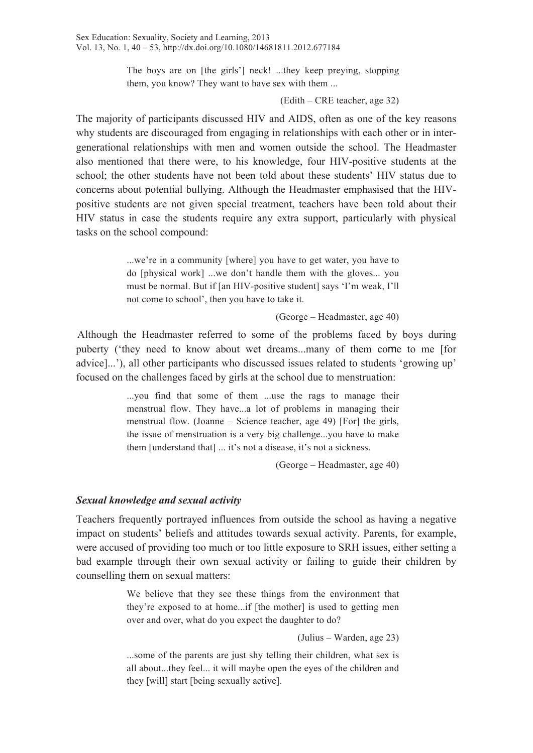The boys are on [the girls'] neck! ...they keep preying, stopping them, you know? They want to have sex with them ...

#### (Edith – CRE teacher, age 32)

The majority of participants discussed HIV and AIDS, often as one of the key reasons why students are discouraged from engaging in relationships with each other or in intergenerational relationships with men and women outside the school. The Headmaster also mentioned that there were, to his knowledge, four HIV-positive students at the school; the other students have not been told about these students' HIV status due to concerns about potential bullying. Although the Headmaster emphasised that the HIVpositive students are not given special treatment, teachers have been told about their HIV status in case the students require any extra support, particularly with physical tasks on the school compound:

> ...we're in a community [where] you have to get water, you have to do [physical work] ...we don't handle them with the gloves... you must be normal. But if [an HIV-positive student] says 'I'm weak, I'll not come to school', then you have to take it.

> > (George – Headmaster, age 40)

Although the Headmaster referred to some of the problems faced by boys during puberty ('they need to know about wet dreams...many of them come to me [for advice]...'), all other participants who discussed issues related to students 'growing up' focused on the challenges faced by girls at the school due to menstruation:

> ...you find that some of them ...use the rags to manage their menstrual flow. They have...a lot of problems in managing their menstrual flow. (Joanne – Science teacher, age 49) [For] the girls, the issue of menstruation is a very big challenge...you have to make them [understand that] ... it's not a disease, it's not a sickness.

> > (George – Headmaster, age 40)

#### *Sexual knowledge and sexual activity*

Teachers frequently portrayed influences from outside the school as having a negative impact on students' beliefs and attitudes towards sexual activity. Parents, for example, were accused of providing too much or too little exposure to SRH issues, either setting a bad example through their own sexual activity or failing to guide their children by counselling them on sexual matters:

> We believe that they see these things from the environment that they're exposed to at home...if [the mother] is used to getting men over and over, what do you expect the daughter to do?

> > (Julius – Warden, age 23)

...some of the parents are just shy telling their children, what sex is all about...they feel... it will maybe open the eyes of the children and they [will] start [being sexually active].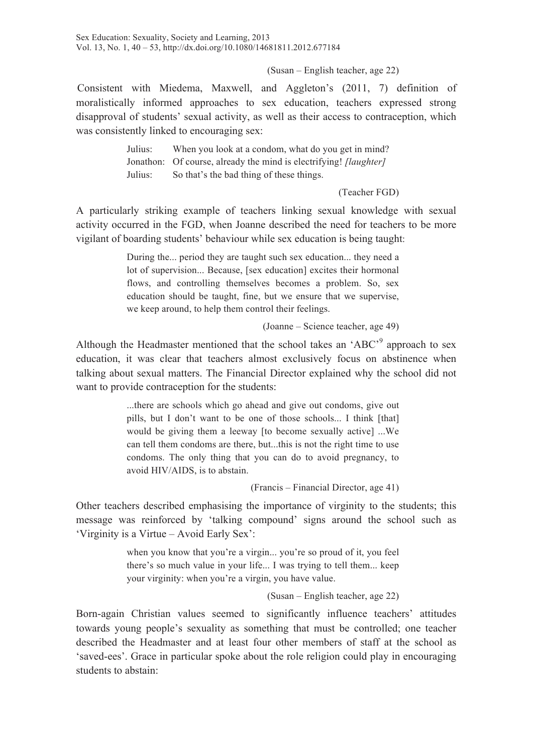Sex Education: Sexuality, Society and Learning, 2013 Vol. 13, No. 1, 40 – 53, http://dx.doi.org/10.1080/14681811.2012.677184

(Susan – English teacher, age 22)

Consistent with Miedema, Maxwell, and Aggleton's (2011, 7) definition of moralistically informed approaches to sex education, teachers expressed strong disapproval of students' sexual activity, as well as their access to contraception, which was consistently linked to encouraging sex:

> Julius: When you look at a condom, what do you get in mind? Jonathon: Of course, already the mind is electrifying! *[laughter]*  Julius: So that's the bad thing of these things.

> > (Teacher FGD)

A particularly striking example of teachers linking sexual knowledge with sexual activity occurred in the FGD, when Joanne described the need for teachers to be more vigilant of boarding students' behaviour while sex education is being taught:

> During the... period they are taught such sex education... they need a lot of supervision... Because, [sex education] excites their hormonal flows, and controlling themselves becomes a problem. So, sex education should be taught, fine, but we ensure that we supervise, we keep around, to help them control their feelings.

> > (Joanne – Science teacher, age 49)

Although the Headmaster mentioned that the school takes an 'ABC'<sup>9</sup> approach to sex education, it was clear that teachers almost exclusively focus on abstinence when talking about sexual matters. The Financial Director explained why the school did not want to provide contraception for the students:

> ...there are schools which go ahead and give out condoms, give out pills, but I don't want to be one of those schools... I think [that] would be giving them a leeway [to become sexually active] ...We can tell them condoms are there, but...this is not the right time to use condoms. The only thing that you can do to avoid pregnancy, to avoid HIV/AIDS, is to abstain.

> > (Francis – Financial Director, age 41)

Other teachers described emphasising the importance of virginity to the students; this message was reinforced by 'talking compound' signs around the school such as 'Virginity is a Virtue – Avoid Early Sex':

> when you know that you're a virgin... you're so proud of it, you feel there's so much value in your life... I was trying to tell them... keep your virginity: when you're a virgin, you have value.

> > (Susan – English teacher, age 22)

Born-again Christian values seemed to significantly influence teachers' attitudes towards young people's sexuality as something that must be controlled; one teacher described the Headmaster and at least four other members of staff at the school as 'saved-ees'. Grace in particular spoke about the role religion could play in encouraging students to abstain: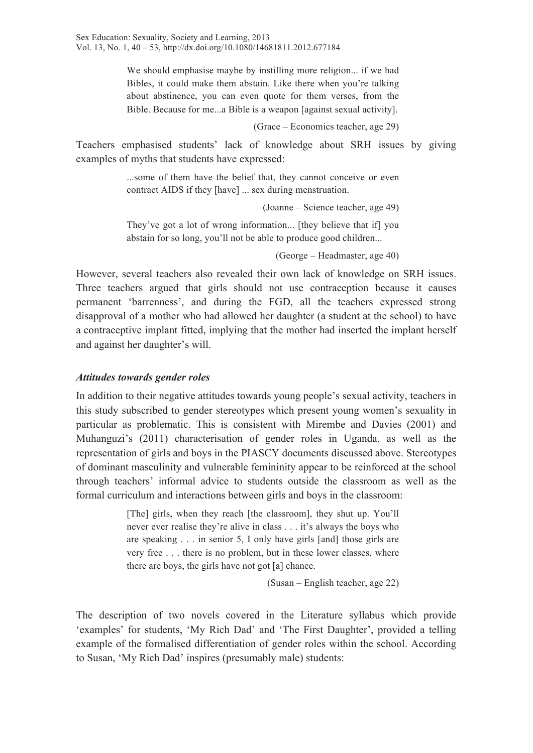We should emphasise maybe by instilling more religion... if we had Bibles, it could make them abstain. Like there when you're talking about abstinence, you can even quote for them verses, from the Bible. Because for me...a Bible is a weapon [against sexual activity].

(Grace – Economics teacher, age 29)

Teachers emphasised students' lack of knowledge about SRH issues by giving examples of myths that students have expressed:

> ...some of them have the belief that, they cannot conceive or even contract AIDS if they [have] ... sex during menstruation.

> > (Joanne – Science teacher, age 49)

They've got a lot of wrong information... [they believe that if] you abstain for so long, you'll not be able to produce good children...

(George – Headmaster, age 40)

However, several teachers also revealed their own lack of knowledge on SRH issues. Three teachers argued that girls should not use contraception because it causes permanent 'barrenness', and during the FGD, all the teachers expressed strong disapproval of a mother who had allowed her daughter (a student at the school) to have a contraceptive implant fitted, implying that the mother had inserted the implant herself and against her daughter's will.

#### *Attitudes towards gender roles*

In addition to their negative attitudes towards young people's sexual activity, teachers in this study subscribed to gender stereotypes which present young women's sexuality in particular as problematic. This is consistent with Mirembe and Davies (2001) and Muhanguzi's (2011) characterisation of gender roles in Uganda, as well as the representation of girls and boys in the PIASCY documents discussed above. Stereotypes of dominant masculinity and vulnerable femininity appear to be reinforced at the school through teachers' informal advice to students outside the classroom as well as the formal curriculum and interactions between girls and boys in the classroom:

> [The] girls, when they reach [the classroom], they shut up. You'll never ever realise they're alive in class . . . it's always the boys who are speaking . . . in senior 5, I only have girls [and] those girls are very free . . . there is no problem, but in these lower classes, where there are boys, the girls have not got [a] chance.

> > (Susan – English teacher, age 22)

The description of two novels covered in the Literature syllabus which provide 'examples' for students, 'My Rich Dad' and 'The First Daughter', provided a telling example of the formalised differentiation of gender roles within the school. According to Susan, 'My Rich Dad' inspires (presumably male) students: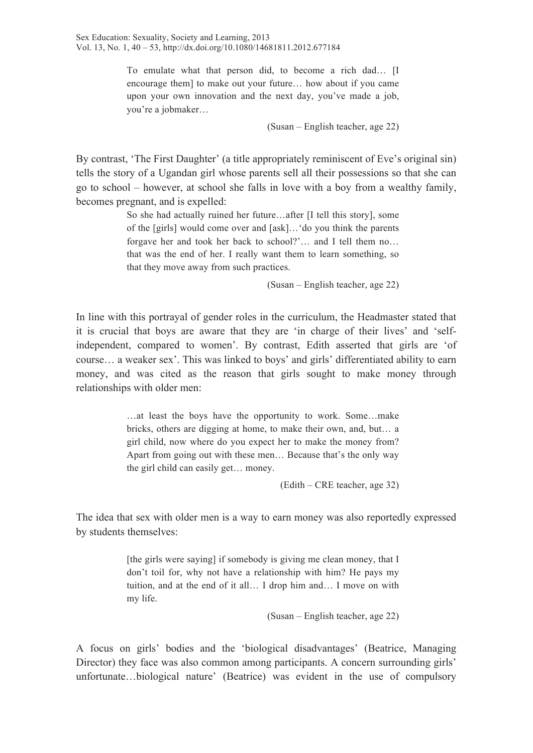To emulate what that person did, to become a rich dad… [I encourage them] to make out your future… how about if you came upon your own innovation and the next day, you've made a job, you're a jobmaker…

(Susan – English teacher, age 22)

By contrast, 'The First Daughter' (a title appropriately reminiscent of Eve's original sin) tells the story of a Ugandan girl whose parents sell all their possessions so that she can go to school – however, at school she falls in love with a boy from a wealthy family, becomes pregnant, and is expelled:

> So she had actually ruined her future…after [I tell this story], some of the [girls] would come over and [ask]…'do you think the parents forgave her and took her back to school?'… and I tell them no… that was the end of her. I really want them to learn something, so that they move away from such practices.

> > (Susan – English teacher, age 22)

In line with this portrayal of gender roles in the curriculum, the Headmaster stated that it is crucial that boys are aware that they are 'in charge of their lives' and 'selfindependent, compared to women'. By contrast, Edith asserted that girls are 'of course… a weaker sex'. This was linked to boys' and girls' differentiated ability to earn money, and was cited as the reason that girls sought to make money through relationships with older men:

> …at least the boys have the opportunity to work. Some…make bricks, others are digging at home, to make their own, and, but… a girl child, now where do you expect her to make the money from? Apart from going out with these men… Because that's the only way the girl child can easily get… money.

> > (Edith – CRE teacher, age 32)

The idea that sex with older men is a way to earn money was also reportedly expressed by students themselves:

> [the girls were saying] if somebody is giving me clean money, that I don't toil for, why not have a relationship with him? He pays my tuition, and at the end of it all… I drop him and… I move on with my life.

> > (Susan – English teacher, age 22)

A focus on girls' bodies and the 'biological disadvantages' (Beatrice, Managing Director) they face was also common among participants. A concern surrounding girls' unfortunate…biological nature' (Beatrice) was evident in the use of compulsory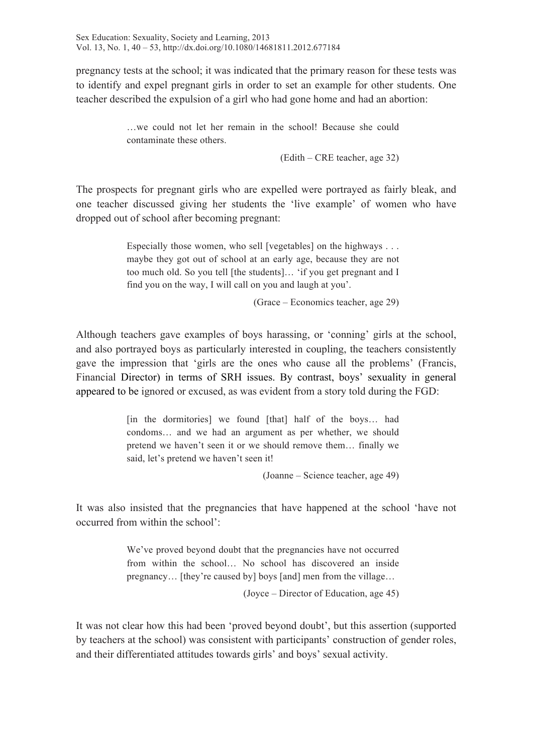pregnancy tests at the school; it was indicated that the primary reason for these tests was to identify and expel pregnant girls in order to set an example for other students. One teacher described the expulsion of a girl who had gone home and had an abortion:

> …we could not let her remain in the school! Because she could contaminate these others.

> > (Edith – CRE teacher, age 32)

The prospects for pregnant girls who are expelled were portrayed as fairly bleak, and one teacher discussed giving her students the 'live example' of women who have dropped out of school after becoming pregnant:

> Especially those women, who sell [vegetables] on the highways . . . maybe they got out of school at an early age, because they are not too much old. So you tell [the students]… 'if you get pregnant and I find you on the way, I will call on you and laugh at you'.

> > (Grace – Economics teacher, age 29)

Although teachers gave examples of boys harassing, or 'conning' girls at the school, and also portrayed boys as particularly interested in coupling, the teachers consistently gave the impression that 'girls are the ones who cause all the problems' (Francis, Financial Director) in terms of SRH issues. By contrast, boys' sexuality in general appeared to be ignored or excused, as was evident from a story told during the FGD:

> [in the dormitories] we found [that] half of the boys… had condoms… and we had an argument as per whether, we should pretend we haven't seen it or we should remove them… finally we said, let's pretend we haven't seen it!

> > (Joanne – Science teacher, age 49)

It was also insisted that the pregnancies that have happened at the school 'have not occurred from within the school':

> We've proved beyond doubt that the pregnancies have not occurred from within the school… No school has discovered an inside pregnancy… [they're caused by] boys [and] men from the village…

> > (Joyce – Director of Education, age 45)

It was not clear how this had been 'proved beyond doubt', but this assertion (supported by teachers at the school) was consistent with participants' construction of gender roles, and their differentiated attitudes towards girls' and boys' sexual activity.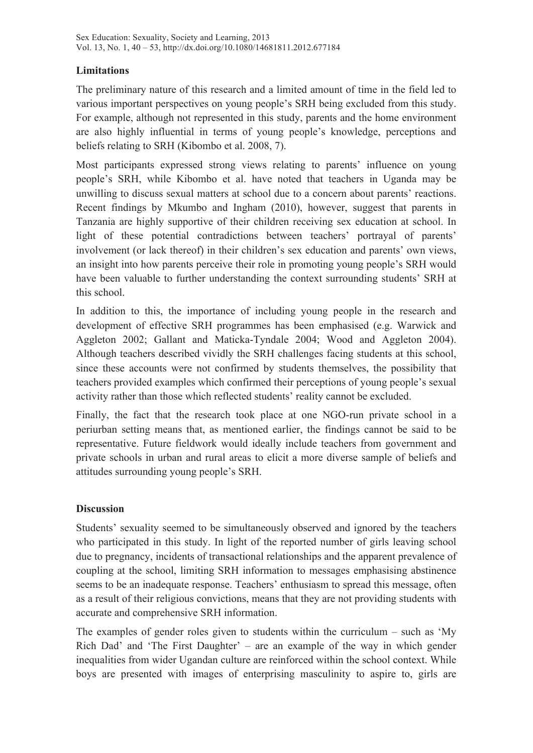# **Limitations**

The preliminary nature of this research and a limited amount of time in the field led to various important perspectives on young people's SRH being excluded from this study. For example, although not represented in this study, parents and the home environment are also highly influential in terms of young people's knowledge, perceptions and beliefs relating to SRH (Kibombo et al. 2008, 7).

Most participants expressed strong views relating to parents' influence on young people's SRH, while Kibombo et al. have noted that teachers in Uganda may be unwilling to discuss sexual matters at school due to a concern about parents' reactions. Recent findings by Mkumbo and Ingham (2010), however, suggest that parents in Tanzania are highly supportive of their children receiving sex education at school. In light of these potential contradictions between teachers' portrayal of parents' involvement (or lack thereof) in their children's sex education and parents' own views, an insight into how parents perceive their role in promoting young people's SRH would have been valuable to further understanding the context surrounding students' SRH at this school.

In addition to this, the importance of including young people in the research and development of effective SRH programmes has been emphasised (e.g. Warwick and Aggleton 2002; Gallant and Maticka-Tyndale 2004; Wood and Aggleton 2004). Although teachers described vividly the SRH challenges facing students at this school, since these accounts were not confirmed by students themselves, the possibility that teachers provided examples which confirmed their perceptions of young people's sexual activity rather than those which reflected students' reality cannot be excluded.

Finally, the fact that the research took place at one NGO-run private school in a periurban setting means that, as mentioned earlier, the findings cannot be said to be representative. Future fieldwork would ideally include teachers from government and private schools in urban and rural areas to elicit a more diverse sample of beliefs and attitudes surrounding young people's SRH.

#### **Discussion**

Students' sexuality seemed to be simultaneously observed and ignored by the teachers who participated in this study. In light of the reported number of girls leaving school due to pregnancy, incidents of transactional relationships and the apparent prevalence of coupling at the school, limiting SRH information to messages emphasising abstinence seems to be an inadequate response. Teachers' enthusiasm to spread this message, often as a result of their religious convictions, means that they are not providing students with accurate and comprehensive SRH information.

The examples of gender roles given to students within the curriculum – such as 'My Rich Dad' and 'The First Daughter' – are an example of the way in which gender inequalities from wider Ugandan culture are reinforced within the school context. While boys are presented with images of enterprising masculinity to aspire to, girls are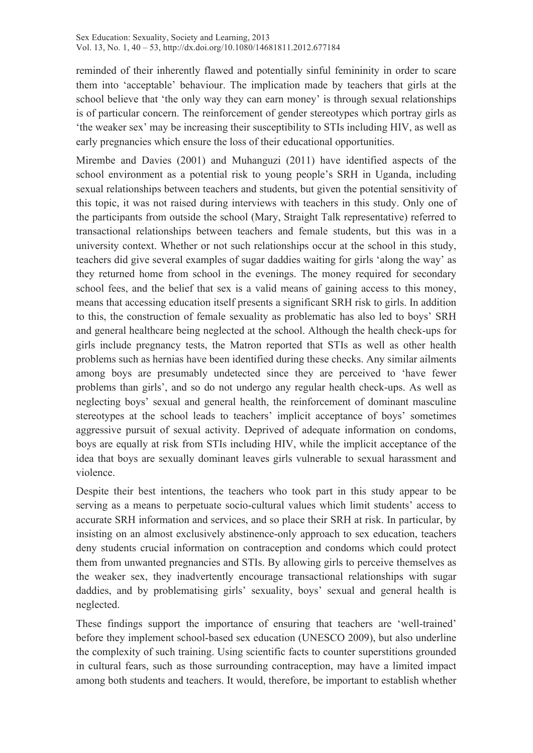reminded of their inherently flawed and potentially sinful femininity in order to scare them into 'acceptable' behaviour. The implication made by teachers that girls at the school believe that 'the only way they can earn money' is through sexual relationships is of particular concern. The reinforcement of gender stereotypes which portray girls as 'the weaker sex' may be increasing their susceptibility to STIs including HIV, as well as early pregnancies which ensure the loss of their educational opportunities.

Mirembe and Davies (2001) and Muhanguzi (2011) have identified aspects of the school environment as a potential risk to young people's SRH in Uganda, including sexual relationships between teachers and students, but given the potential sensitivity of this topic, it was not raised during interviews with teachers in this study. Only one of the participants from outside the school (Mary, Straight Talk representative) referred to transactional relationships between teachers and female students, but this was in a university context. Whether or not such relationships occur at the school in this study, teachers did give several examples of sugar daddies waiting for girls 'along the way' as they returned home from school in the evenings. The money required for secondary school fees, and the belief that sex is a valid means of gaining access to this money, means that accessing education itself presents a significant SRH risk to girls. In addition to this, the construction of female sexuality as problematic has also led to boys' SRH and general healthcare being neglected at the school. Although the health check-ups for girls include pregnancy tests, the Matron reported that STIs as well as other health problems such as hernias have been identified during these checks. Any similar ailments among boys are presumably undetected since they are perceived to 'have fewer problems than girls', and so do not undergo any regular health check-ups. As well as neglecting boys' sexual and general health, the reinforcement of dominant masculine stereotypes at the school leads to teachers' implicit acceptance of boys' sometimes aggressive pursuit of sexual activity. Deprived of adequate information on condoms, boys are equally at risk from STIs including HIV, while the implicit acceptance of the idea that boys are sexually dominant leaves girls vulnerable to sexual harassment and violence.

Despite their best intentions, the teachers who took part in this study appear to be serving as a means to perpetuate socio-cultural values which limit students' access to accurate SRH information and services, and so place their SRH at risk. In particular, by insisting on an almost exclusively abstinence-only approach to sex education, teachers deny students crucial information on contraception and condoms which could protect them from unwanted pregnancies and STIs. By allowing girls to perceive themselves as the weaker sex, they inadvertently encourage transactional relationships with sugar daddies, and by problematising girls' sexuality, boys' sexual and general health is neglected.

These findings support the importance of ensuring that teachers are 'well-trained' before they implement school-based sex education (UNESCO 2009), but also underline the complexity of such training. Using scientific facts to counter superstitions grounded in cultural fears, such as those surrounding contraception, may have a limited impact among both students and teachers. It would, therefore, be important to establish whether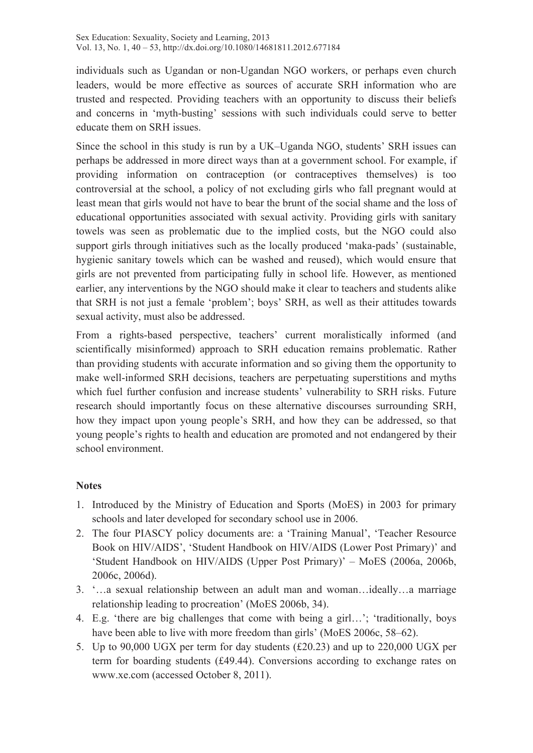individuals such as Ugandan or non-Ugandan NGO workers, or perhaps even church leaders, would be more effective as sources of accurate SRH information who are trusted and respected. Providing teachers with an opportunity to discuss their beliefs and concerns in 'myth-busting' sessions with such individuals could serve to better educate them on SRH issues.

Since the school in this study is run by a UK–Uganda NGO, students' SRH issues can perhaps be addressed in more direct ways than at a government school. For example, if providing information on contraception (or contraceptives themselves) is too controversial at the school, a policy of not excluding girls who fall pregnant would at least mean that girls would not have to bear the brunt of the social shame and the loss of educational opportunities associated with sexual activity. Providing girls with sanitary towels was seen as problematic due to the implied costs, but the NGO could also support girls through initiatives such as the locally produced 'maka-pads' (sustainable, hygienic sanitary towels which can be washed and reused), which would ensure that girls are not prevented from participating fully in school life. However, as mentioned earlier, any interventions by the NGO should make it clear to teachers and students alike that SRH is not just a female 'problem'; boys' SRH, as well as their attitudes towards sexual activity, must also be addressed.

From a rights-based perspective, teachers' current moralistically informed (and scientifically misinformed) approach to SRH education remains problematic. Rather than providing students with accurate information and so giving them the opportunity to make well-informed SRH decisions, teachers are perpetuating superstitions and myths which fuel further confusion and increase students' vulnerability to SRH risks. Future research should importantly focus on these alternative discourses surrounding SRH, how they impact upon young people's SRH, and how they can be addressed, so that young people's rights to health and education are promoted and not endangered by their school environment.

# **Notes**

- 1. Introduced by the Ministry of Education and Sports (MoES) in 2003 for primary schools and later developed for secondary school use in 2006.
- 2. The four PIASCY policy documents are: a 'Training Manual', 'Teacher Resource Book on HIV/AIDS', 'Student Handbook on HIV/AIDS (Lower Post Primary)' and 'Student Handbook on HIV/AIDS (Upper Post Primary)' – MoES (2006a, 2006b, 2006c, 2006d).
- 3. '…a sexual relationship between an adult man and woman…ideally…a marriage relationship leading to procreation' (MoES 2006b, 34).
- 4. E.g. 'there are big challenges that come with being a girl…'; 'traditionally, boys have been able to live with more freedom than girls' (MoES 2006c, 58–62).
- 5. Up to 90,000 UGX per term for day students (£20.23) and up to 220,000 UGX per term for boarding students (£49.44). Conversions according to exchange rates on www.xe.com (accessed October 8, 2011).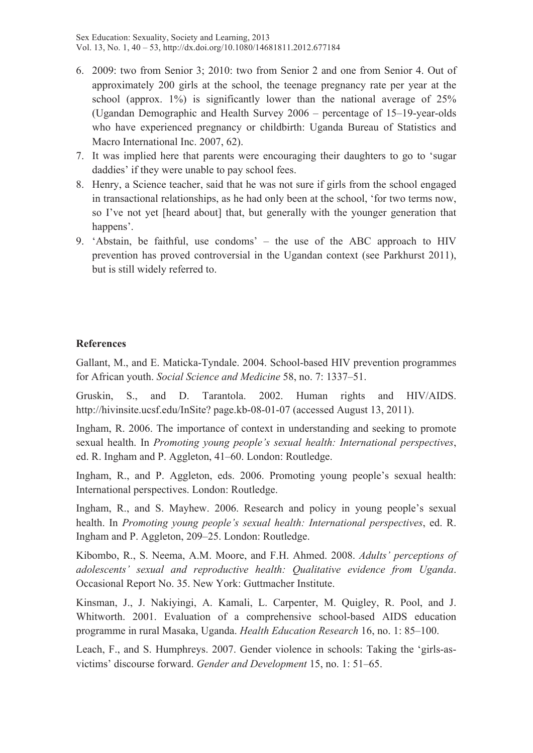Sex Education: Sexuality, Society and Learning, 2013 Vol. 13, No. 1, 40 – 53, http://dx.doi.org/10.1080/14681811.2012.677184

- 6. 2009: two from Senior 3; 2010: two from Senior 2 and one from Senior 4. Out of approximately 200 girls at the school, the teenage pregnancy rate per year at the school (approx. 1%) is significantly lower than the national average of 25% (Ugandan Demographic and Health Survey 2006 – percentage of 15–19-year-olds who have experienced pregnancy or childbirth: Uganda Bureau of Statistics and Macro International Inc. 2007, 62).
- 7. It was implied here that parents were encouraging their daughters to go to 'sugar daddies' if they were unable to pay school fees.
- 8. Henry, a Science teacher, said that he was not sure if girls from the school engaged in transactional relationships, as he had only been at the school, 'for two terms now, so I've not yet [heard about] that, but generally with the younger generation that happens'.
- 9. 'Abstain, be faithful, use condoms' the use of the ABC approach to HIV prevention has proved controversial in the Ugandan context (see Parkhurst 2011), but is still widely referred to.

#### **References**

Gallant, M., and E. Maticka-Tyndale. 2004. School-based HIV prevention programmes for African youth. *Social Science and Medicine* 58, no. 7: 1337–51.

Gruskin, S., and D. Tarantola. 2002. Human rights and HIV/AIDS. http://hivinsite.ucsf.edu/InSite? page.kb-08-01-07 (accessed August 13, 2011).

Ingham, R. 2006. The importance of context in understanding and seeking to promote sexual health. In *Promoting young people's sexual health: International perspectives*, ed. R. Ingham and P. Aggleton, 41–60. London: Routledge.

Ingham, R., and P. Aggleton, eds. 2006. Promoting young people's sexual health: International perspectives. London: Routledge.

Ingham, R., and S. Mayhew. 2006. Research and policy in young people's sexual health. In *Promoting young people's sexual health: International perspectives*, ed. R. Ingham and P. Aggleton, 209–25. London: Routledge.

Kibombo, R., S. Neema, A.M. Moore, and F.H. Ahmed. 2008. *Adults' perceptions of adolescents' sexual and reproductive health: Qualitative evidence from Uganda*. Occasional Report No. 35. New York: Guttmacher Institute.

Kinsman, J., J. Nakiyingi, A. Kamali, L. Carpenter, M. Quigley, R. Pool, and J. Whitworth. 2001. Evaluation of a comprehensive school-based AIDS education programme in rural Masaka, Uganda. *Health Education Research* 16, no. 1: 85–100.

Leach, F., and S. Humphreys. 2007. Gender violence in schools: Taking the 'girls-asvictims' discourse forward. *Gender and Development* 15, no. 1: 51–65.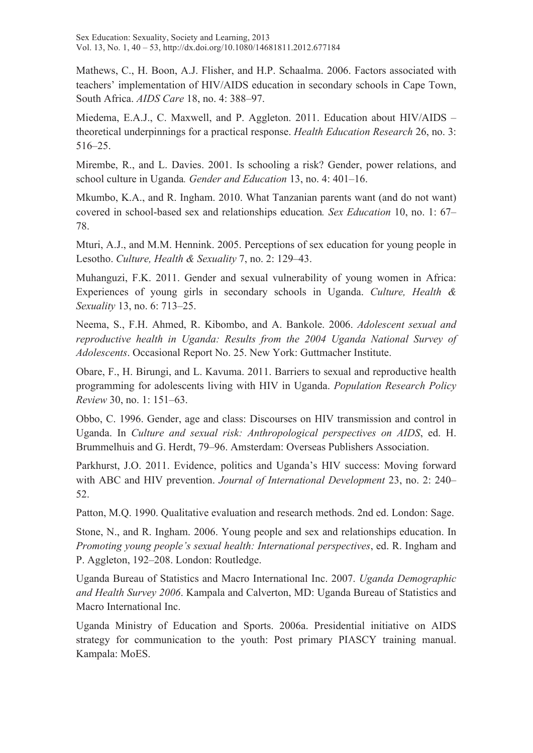Sex Education: Sexuality, Society and Learning, 2013 Vol. 13, No. 1, 40 – 53, http://dx.doi.org/10.1080/14681811.2012.677184

Mathews, C., H. Boon, A.J. Flisher, and H.P. Schaalma. 2006. Factors associated with teachers' implementation of HIV/AIDS education in secondary schools in Cape Town, South Africa. *AIDS Care* 18, no. 4: 388–97.

Miedema, E.A.J., C. Maxwell, and P. Aggleton. 2011. Education about HIV/AIDS – theoretical underpinnings for a practical response. *Health Education Research* 26, no. 3: 516–25.

Mirembe, R., and L. Davies. 2001. Is schooling a risk? Gender, power relations, and school culture in Uganda*. Gender and Education* 13, no. 4: 401–16.

Mkumbo, K.A., and R. Ingham. 2010. What Tanzanian parents want (and do not want) covered in school-based sex and relationships education*. Sex Education* 10, no. 1: 67– 78.

Mturi, A.J., and M.M. Hennink. 2005. Perceptions of sex education for young people in Lesotho. *Culture, Health & Sexuality* 7, no. 2: 129–43.

Muhanguzi, F.K. 2011. Gender and sexual vulnerability of young women in Africa: Experiences of young girls in secondary schools in Uganda. *Culture, Health & Sexuality* 13, no. 6: 713–25.

Neema, S., F.H. Ahmed, R. Kibombo, and A. Bankole. 2006. *Adolescent sexual and reproductive health in Uganda: Results from the 2004 Uganda National Survey of Adolescents*. Occasional Report No. 25. New York: Guttmacher Institute.

Obare, F., H. Birungi, and L. Kavuma. 2011. Barriers to sexual and reproductive health programming for adolescents living with HIV in Uganda. *Population Research Policy Review* 30, no. 1: 151–63.

Obbo, C. 1996. Gender, age and class: Discourses on HIV transmission and control in Uganda. In *Culture and sexual risk: Anthropological perspectives on AIDS*, ed. H. Brummelhuis and G. Herdt, 79–96. Amsterdam: Overseas Publishers Association.

Parkhurst, J.O. 2011. Evidence, politics and Uganda's HIV success: Moving forward with ABC and HIV prevention. *Journal of International Development* 23, no. 2: 240– 52.

Patton, M.Q. 1990. Qualitative evaluation and research methods. 2nd ed. London: Sage.

Stone, N., and R. Ingham. 2006. Young people and sex and relationships education. In *Promoting young people's sexual health: International perspectives*, ed. R. Ingham and P. Aggleton, 192–208. London: Routledge.

Uganda Bureau of Statistics and Macro International Inc. 2007. *Uganda Demographic and Health Survey 2006*. Kampala and Calverton, MD: Uganda Bureau of Statistics and Macro International Inc.

Uganda Ministry of Education and Sports. 2006a. Presidential initiative on AIDS strategy for communication to the youth: Post primary PIASCY training manual. Kampala: MoES.